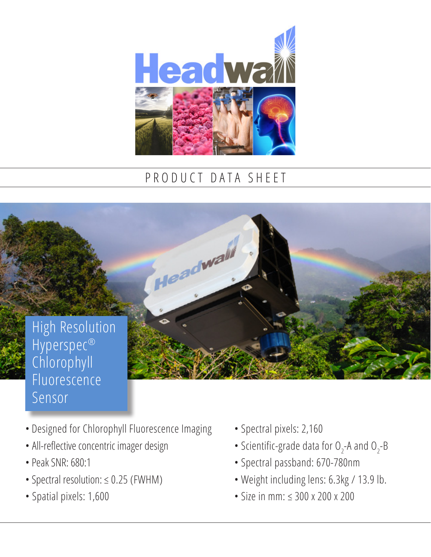

## PRODUCT DATA SHEET

Headwall

High Resolution Hyperspec® Chlorophyll Fluorescence Sensor

- Designed for Chlorophyll Fluorescence Imaging
- All-reflective concentric imager design
- Peak SNR: 680:1
- Spectral resolution: ≤ 0.25 (FWHM)
- Spatial pixels: 1,600
- Spectral pixels: 2,160
- Scientific-grade data for  $O_2$ -A and  $O_2$ -B
- Spectral passband: 670-780nm
- Weight including lens: 6.3kg / 13.9 lb.
- Size in mm: ≤ 300 x 200 x 200